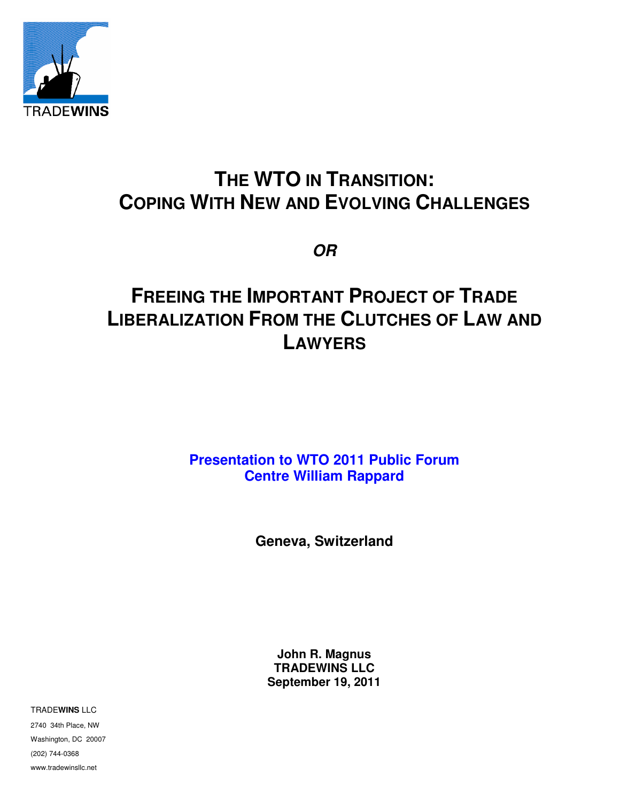

# **THE WTO IN TRANSITION: COPING WITH NEW AND EVOLVING CHALLENGES**

**OR**

# **FREEING THE IMPORTANT PROJECT OF TRADE LIBERALIZATION FROM THE CLUTCHES OF LAW AND LAWYERS**

**Presentation to WTO 2011 Public Forum Centre William Rappard** 

**Geneva, Switzerland**

**John R. Magnus TRADEWINS LLC September 19, 2011**

TRADE**WINS** LLC

2740 34th Place, NW Washington, DC 20007 (202) 744-0368 www.tradewinsllc.net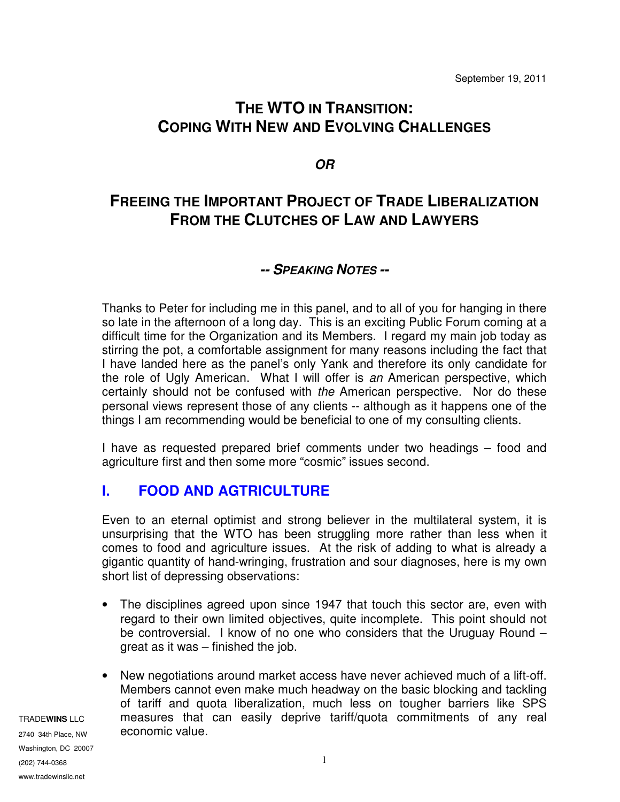## **THE WTO IN TRANSITION: COPING WITH NEW AND EVOLVING CHALLENGES**

**OR**

### **FREEING THE IMPORTANT PROJECT OF TRADE LIBERALIZATION FROM THE CLUTCHES OF LAW AND LAWYERS**

#### **-- SPEAKING NOTES --**

Thanks to Peter for including me in this panel, and to all of you for hanging in there so late in the afternoon of a long day. This is an exciting Public Forum coming at a difficult time for the Organization and its Members. I regard my main job today as stirring the pot, a comfortable assignment for many reasons including the fact that I have landed here as the panel's only Yank and therefore its only candidate for the role of Ugly American. What I will offer is an American perspective, which certainly should not be confused with the American perspective. Nor do these personal views represent those of any clients -- although as it happens one of the things I am recommending would be beneficial to one of my consulting clients.

I have as requested prepared brief comments under two headings – food and agriculture first and then some more "cosmic" issues second.

#### **I. FOOD AND AGTRICULTURE**

Even to an eternal optimist and strong believer in the multilateral system, it is unsurprising that the WTO has been struggling more rather than less when it comes to food and agriculture issues. At the risk of adding to what is already a gigantic quantity of hand-wringing, frustration and sour diagnoses, here is my own short list of depressing observations:

- The disciplines agreed upon since 1947 that touch this sector are, even with regard to their own limited objectives, quite incomplete. This point should not be controversial. I know of no one who considers that the Uruguay Round – great as it was – finished the job.
- New negotiations around market access have never achieved much of a lift-off. Members cannot even make much headway on the basic blocking and tackling of tariff and quota liberalization, much less on tougher barriers like SPS measures that can easily deprive tariff/quota commitments of any real economic value.

TRADE**WINS** LLC 2740 34th Place, NW Washington, DC 20007 (202) 744-0368 www.tradewinsllc.net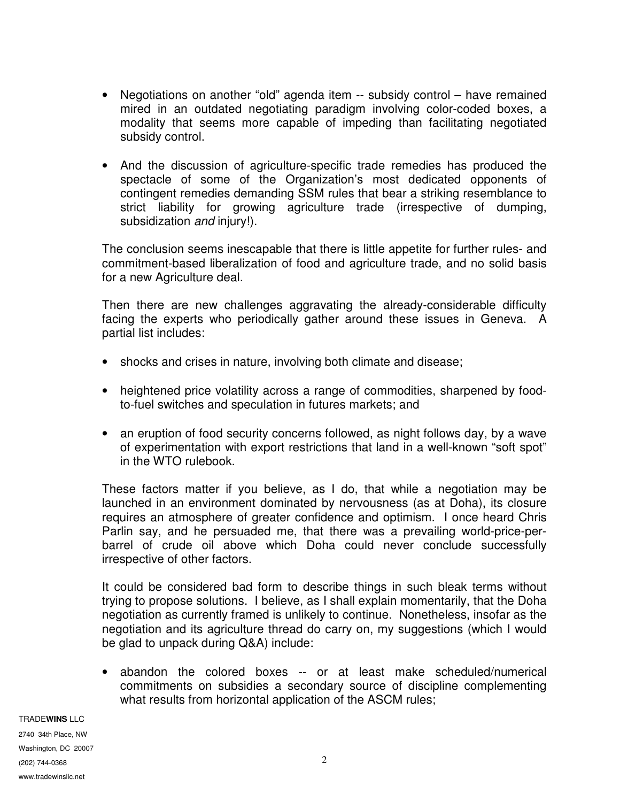- Negotiations on another "old" agenda item -- subsidy control have remained mired in an outdated negotiating paradigm involving color-coded boxes, a modality that seems more capable of impeding than facilitating negotiated subsidy control.
- And the discussion of agriculture-specific trade remedies has produced the spectacle of some of the Organization's most dedicated opponents of contingent remedies demanding SSM rules that bear a striking resemblance to strict liability for growing agriculture trade (irrespective of dumping, subsidization and injury!).

The conclusion seems inescapable that there is little appetite for further rules- and commitment-based liberalization of food and agriculture trade, and no solid basis for a new Agriculture deal.

Then there are new challenges aggravating the already-considerable difficulty facing the experts who periodically gather around these issues in Geneva. A partial list includes:

- shocks and crises in nature, involving both climate and disease;
- heightened price volatility across a range of commodities, sharpened by foodto-fuel switches and speculation in futures markets; and
- an eruption of food security concerns followed, as night follows day, by a wave of experimentation with export restrictions that land in a well-known "soft spot" in the WTO rulebook.

These factors matter if you believe, as I do, that while a negotiation may be launched in an environment dominated by nervousness (as at Doha), its closure requires an atmosphere of greater confidence and optimism. I once heard Chris Parlin say, and he persuaded me, that there was a prevailing world-price-perbarrel of crude oil above which Doha could never conclude successfully irrespective of other factors.

It could be considered bad form to describe things in such bleak terms without trying to propose solutions. I believe, as I shall explain momentarily, that the Doha negotiation as currently framed is unlikely to continue. Nonetheless, insofar as the negotiation and its agriculture thread do carry on, my suggestions (which I would be glad to unpack during Q&A) include:

• abandon the colored boxes -- or at least make scheduled/numerical commitments on subsidies a secondary source of discipline complementing what results from horizontal application of the ASCM rules;

TRADE**WINS** LLC 2740 34th Place, NW Washington, DC 20007 (202) 744-0368 www.tradewinsllc.net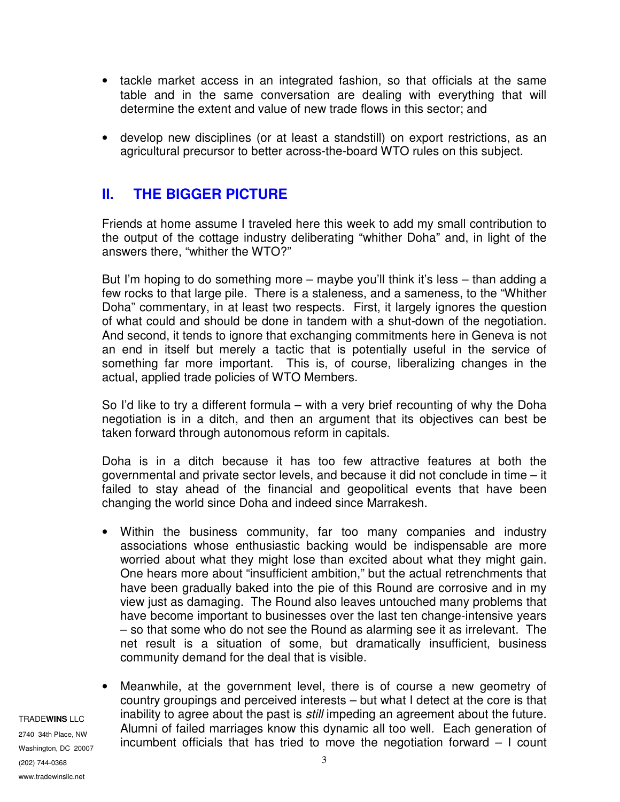- tackle market access in an integrated fashion, so that officials at the same table and in the same conversation are dealing with everything that will determine the extent and value of new trade flows in this sector; and
- develop new disciplines (or at least a standstill) on export restrictions, as an agricultural precursor to better across-the-board WTO rules on this subject.

### **II. THE BIGGER PICTURE**

Friends at home assume I traveled here this week to add my small contribution to the output of the cottage industry deliberating "whither Doha" and, in light of the answers there, "whither the WTO?"

But I'm hoping to do something more – maybe you'll think it's less – than adding a few rocks to that large pile. There is a staleness, and a sameness, to the "Whither Doha" commentary, in at least two respects. First, it largely ignores the question of what could and should be done in tandem with a shut-down of the negotiation. And second, it tends to ignore that exchanging commitments here in Geneva is not an end in itself but merely a tactic that is potentially useful in the service of something far more important. This is, of course, liberalizing changes in the actual, applied trade policies of WTO Members.

So I'd like to try a different formula – with a very brief recounting of why the Doha negotiation is in a ditch, and then an argument that its objectives can best be taken forward through autonomous reform in capitals.

Doha is in a ditch because it has too few attractive features at both the governmental and private sector levels, and because it did not conclude in time – it failed to stay ahead of the financial and geopolitical events that have been changing the world since Doha and indeed since Marrakesh.

- Within the business community, far too many companies and industry associations whose enthusiastic backing would be indispensable are more worried about what they might lose than excited about what they might gain. One hears more about "insufficient ambition," but the actual retrenchments that have been gradually baked into the pie of this Round are corrosive and in my view just as damaging. The Round also leaves untouched many problems that have become important to businesses over the last ten change-intensive years – so that some who do not see the Round as alarming see it as irrelevant. The net result is a situation of some, but dramatically insufficient, business community demand for the deal that is visible.
- Meanwhile, at the government level, there is of course a new geometry of country groupings and perceived interests – but what I detect at the core is that inability to agree about the past is still impeding an agreement about the future. Alumni of failed marriages know this dynamic all too well. Each generation of incumbent officials that has tried to move the negotiation forward – I count

2740 34th Place, NW Washington, DC 20007 (202) 744-0368 www.tradewinsllc.net

TRADE**WINS** LLC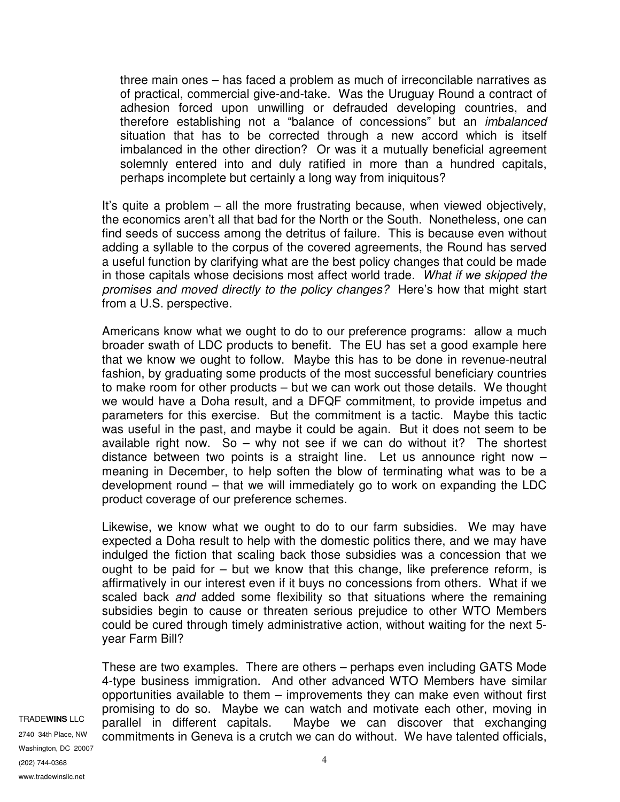three main ones – has faced a problem as much of irreconcilable narratives as of practical, commercial give-and-take. Was the Uruguay Round a contract of adhesion forced upon unwilling or defrauded developing countries, and therefore establishing not a "balance of concessions" but an imbalanced situation that has to be corrected through a new accord which is itself imbalanced in the other direction? Or was it a mutually beneficial agreement solemnly entered into and duly ratified in more than a hundred capitals, perhaps incomplete but certainly a long way from iniquitous?

It's quite a problem – all the more frustrating because, when viewed objectively, the economics aren't all that bad for the North or the South. Nonetheless, one can find seeds of success among the detritus of failure. This is because even without adding a syllable to the corpus of the covered agreements, the Round has served a useful function by clarifying what are the best policy changes that could be made in those capitals whose decisions most affect world trade. What if we skipped the promises and moved directly to the policy changes? Here's how that might start from a U.S. perspective.

Americans know what we ought to do to our preference programs: allow a much broader swath of LDC products to benefit. The EU has set a good example here that we know we ought to follow. Maybe this has to be done in revenue-neutral fashion, by graduating some products of the most successful beneficiary countries to make room for other products – but we can work out those details. We thought we would have a Doha result, and a DFQF commitment, to provide impetus and parameters for this exercise. But the commitment is a tactic. Maybe this tactic was useful in the past, and maybe it could be again. But it does not seem to be available right now. So – why not see if we can do without it? The shortest distance between two points is a straight line. Let us announce right now – meaning in December, to help soften the blow of terminating what was to be a development round – that we will immediately go to work on expanding the LDC product coverage of our preference schemes.

Likewise, we know what we ought to do to our farm subsidies. We may have expected a Doha result to help with the domestic politics there, and we may have indulged the fiction that scaling back those subsidies was a concession that we ought to be paid for – but we know that this change, like preference reform, is affirmatively in our interest even if it buys no concessions from others. What if we scaled back *and* added some flexibility so that situations where the remaining subsidies begin to cause or threaten serious prejudice to other WTO Members could be cured through timely administrative action, without waiting for the next 5 year Farm Bill?

These are two examples. There are others – perhaps even including GATS Mode 4-type business immigration. And other advanced WTO Members have similar opportunities available to them – improvements they can make even without first promising to do so. Maybe we can watch and motivate each other, moving in parallel in different capitals. Maybe we can discover that exchanging commitments in Geneva is a crutch we can do without. We have talented officials,

TRADE**WINS** LLC 2740 34th Place, NW Washington, DC 20007 (202) 744-0368 www.tradewinsllc.net